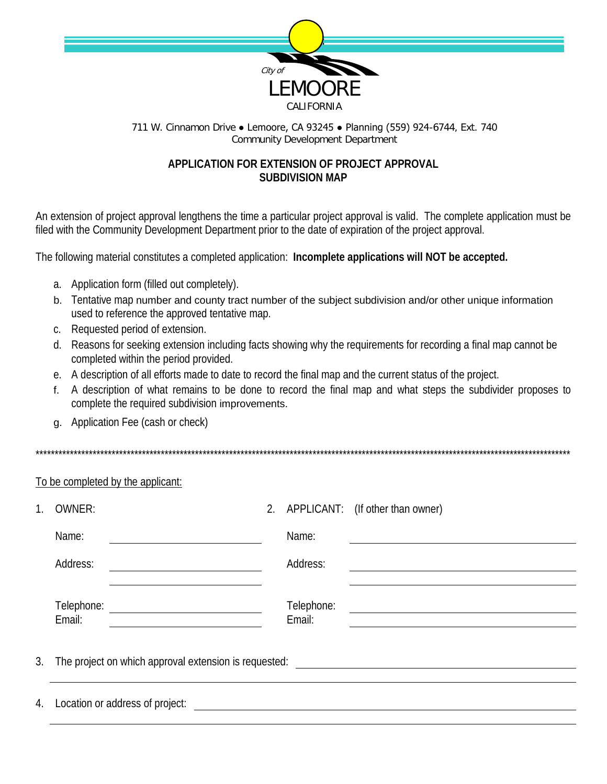

## 711 W. Cinnamon Drive • Lemoore, CA 93245 • Planning (559) 924-6744, Ext. 740 **Community Development Department**

## APPLICATION FOR EXTENSION OF PROJECT APPROVAL **SUBDIVISION MAP**

An extension of project approval lengthens the time a particular project approval is valid. The complete application must be filed with the Community Development Department prior to the date of expiration of the project approval.

The following material constitutes a completed application: Incomplete applications will NOT be accepted.

- a. Application form (filled out completely).
- b. Tentative map number and county tract number of the subject subdivision and/or other unique information used to reference the approved tentative map.
- c. Requested period of extension.
- d. Reasons for seeking extension including facts showing why the requirements for recording a final map cannot be completed within the period provided.
- e. A description of all efforts made to date to record the final map and the current status of the project.
- f. A description of what remains to be done to record the final map and what steps the subdivider proposes to complete the required subdivision improvements.
- g. Application Fee (cash or check)

## To be completed by the applicant:

| 1. | <b>OWNER:</b>                                         | 2. |                      | APPLICANT: (If other than owner) |
|----|-------------------------------------------------------|----|----------------------|----------------------------------|
|    | Name:                                                 |    | Name:                |                                  |
|    | Address:                                              |    | Address:             |                                  |
|    | Telephone:<br>Email:                                  |    | Telephone:<br>Email: |                                  |
| 3. | The project on which approval extension is requested: |    |                      |                                  |
|    | 4. Location or address of project:                    |    |                      |                                  |